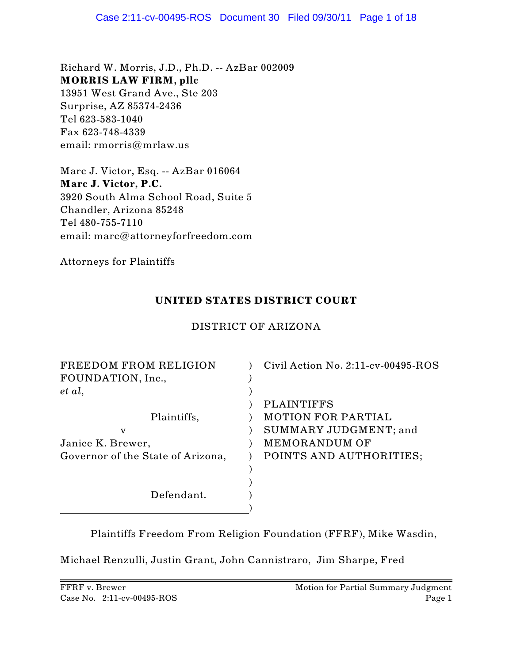Richard W. Morris, J.D., Ph.D. -- AzBar 002009 **MORRIS LAW FIRM, pllc** 13951 West Grand Ave., Ste 203 Surprise, AZ 85374-2436 Tel 623-583-1040 Fax 623-748-4339 email: rmorris@mrlaw.us

Marc J. Victor, Esq. -- AzBar 016064 **Marc J. Victor, P.C.** 3920 South Alma School Road, Suite 5 Chandler, Arizona 85248 Tel 480-755-7110 email: marc@attorneyforfreedom.com

Attorneys for Plaintiffs

## **UNITED STATES DISTRICT COURT**

## DISTRICT OF ARIZONA

| FREEDOM FROM RELIGION<br>FOUNDATION, Inc., | Civil Action No. $2:11$ -cv-00495-ROS |
|--------------------------------------------|---------------------------------------|
| et al,                                     |                                       |
|                                            | <b>PLAINTIFFS</b>                     |
| Plaintiffs,                                | <b>MOTION FOR PARTIAL</b>             |
| v                                          | SUMMARY JUDGMENT; and                 |
| Janice K. Brewer,                          | MEMORANDUM OF                         |
| Governor of the State of Arizona,          | POINTS AND AUTHORITIES;               |
|                                            |                                       |
|                                            |                                       |
| Defendant.                                 |                                       |
|                                            |                                       |

Plaintiffs Freedom From Religion Foundation (FFRF), Mike Wasdin,

Michael Renzulli, Justin Grant, John Cannistraro, Jim Sharpe, Fred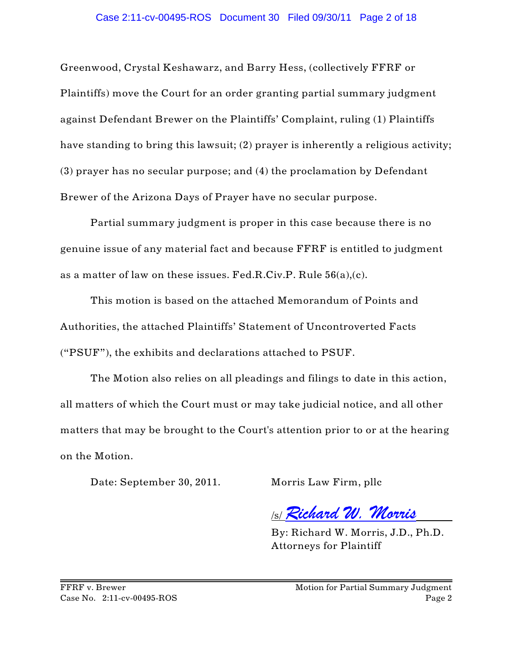Greenwood, Crystal Keshawarz, and Barry Hess, (collectively FFRF or Plaintiffs) move the Court for an order granting partial summary judgment against Defendant Brewer on the Plaintiffs' Complaint, ruling (1) Plaintiffs have standing to bring this lawsuit; (2) prayer is inherently a religious activity; (3) prayer has no secular purpose; and (4) the proclamation by Defendant Brewer of the Arizona Days of Prayer have no secular purpose.

Partial summary judgment is proper in this case because there is no genuine issue of any material fact and because FFRF is entitled to judgment as a matter of law on these issues. Fed.R.Civ.P. Rule 56(a),(c).

This motion is based on the attached Memorandum of Points and Authorities, the attached Plaintiffs' Statement of Uncontroverted Facts ("PSUF"), the exhibits and declarations attached to PSUF.

The Motion also relies on all pleadings and filings to date in this action, all matters of which the Court must or may take judicial notice, and all other matters that may be brought to the Court's attention prior to or at the hearing on the Motion.

Date: September 30, 2011. Morris Law Firm, pllc

/s/ *Richard W. Morris*

By: Richard W. Morris, J.D., Ph.D. Attorneys for Plaintiff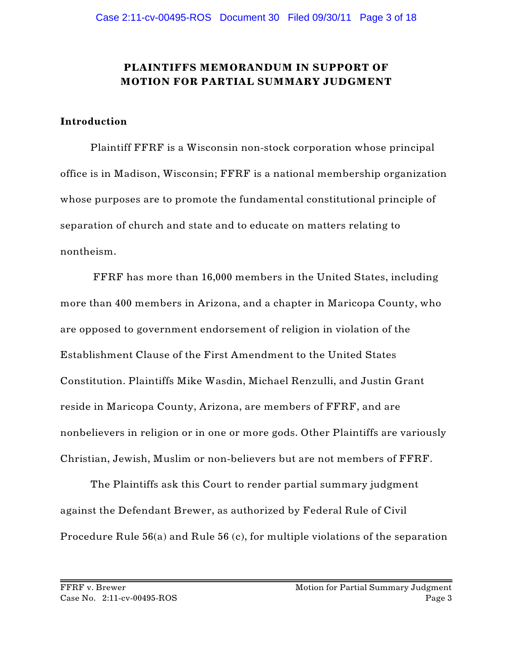# **PLAINTIFFS MEMORANDUM IN SUPPORT OF MOTION FOR PARTIAL SUMMARY JUDGMENT**

#### **Introduction**

Plaintiff FFRF is a Wisconsin non-stock corporation whose principal office is in Madison, Wisconsin; FFRF is a national membership organization whose purposes are to promote the fundamental constitutional principle of separation of church and state and to educate on matters relating to nontheism.

 FFRF has more than 16,000 members in the United States, including more than 400 members in Arizona, and a chapter in Maricopa County, who are opposed to government endorsement of religion in violation of the Establishment Clause of the First Amendment to the United States Constitution. Plaintiffs Mike Wasdin, Michael Renzulli, and Justin Grant reside in Maricopa County, Arizona, are members of FFRF, and are nonbelievers in religion or in one or more gods. Other Plaintiffs are variously Christian, Jewish, Muslim or non-believers but are not members of FFRF.

The Plaintiffs ask this Court to render partial summary judgment against the Defendant Brewer, as authorized by Federal Rule of Civil Procedure Rule 56(a) and Rule 56 (c), for multiple violations of the separation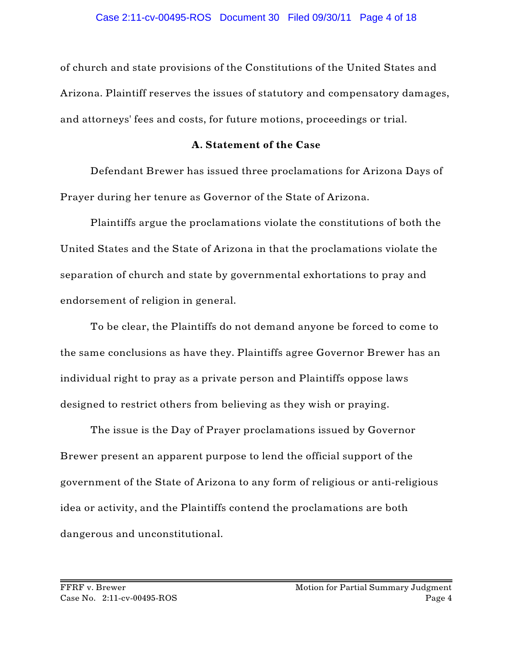of church and state provisions of the Constitutions of the United States and Arizona. Plaintiff reserves the issues of statutory and compensatory damages, and attorneys' fees and costs, for future motions, proceedings or trial.

## **A. Statement of the Case**

Defendant Brewer has issued three proclamations for Arizona Days of Prayer during her tenure as Governor of the State of Arizona.

Plaintiffs argue the proclamations violate the constitutions of both the United States and the State of Arizona in that the proclamations violate the separation of church and state by governmental exhortations to pray and endorsement of religion in general.

To be clear, the Plaintiffs do not demand anyone be forced to come to the same conclusions as have they. Plaintiffs agree Governor Brewer has an individual right to pray as a private person and Plaintiffs oppose laws designed to restrict others from believing as they wish or praying.

The issue is the Day of Prayer proclamations issued by Governor Brewer present an apparent purpose to lend the official support of the government of the State of Arizona to any form of religious or anti-religious idea or activity, and the Plaintiffs contend the proclamations are both dangerous and unconstitutional.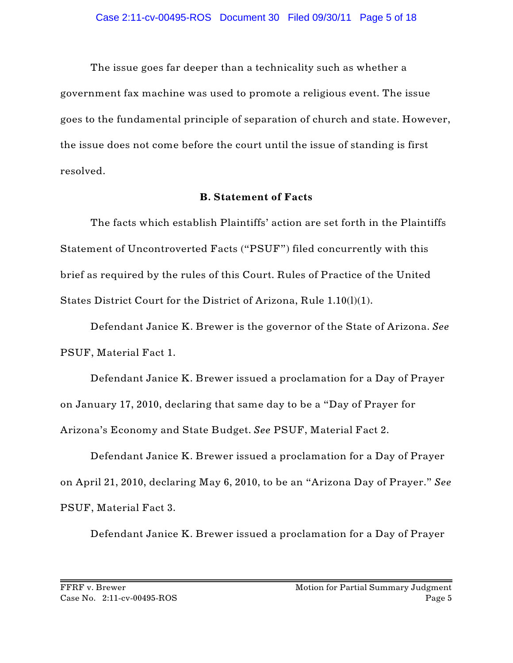The issue goes far deeper than a technicality such as whether a government fax machine was used to promote a religious event. The issue goes to the fundamental principle of separation of church and state. However, the issue does not come before the court until the issue of standing is first resolved.

#### **B. Statement of Facts**

The facts which establish Plaintiffs' action are set forth in the Plaintiffs Statement of Uncontroverted Facts ("PSUF") filed concurrently with this brief as required by the rules of this Court. Rules of Practice of the United States District Court for the District of Arizona, Rule 1.10(l)(1).

Defendant Janice K. Brewer is the governor of the State of Arizona. *See* PSUF, Material Fact 1.

Defendant Janice K. Brewer issued a proclamation for a Day of Prayer on January 17, 2010, declaring that same day to be a "Day of Prayer for Arizona's Economy and State Budget. *See* PSUF, Material Fact 2.

Defendant Janice K. Brewer issued a proclamation for a Day of Prayer on April 21, 2010, declaring May 6, 2010, to be an "Arizona Day of Prayer." *See* PSUF, Material Fact 3.

Defendant Janice K. Brewer issued a proclamation for a Day of Prayer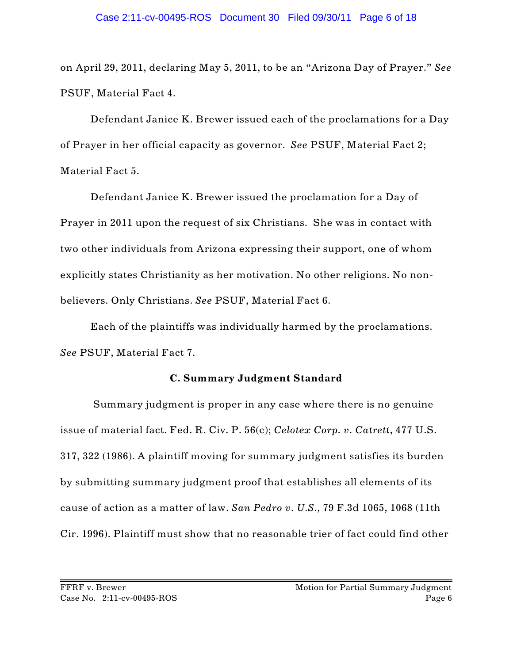on April 29, 2011, declaring May 5, 2011, to be an "Arizona Day of Prayer." *See* PSUF, Material Fact 4.

Defendant Janice K. Brewer issued each of the proclamations for a Day of Prayer in her official capacity as governor. *See* PSUF, Material Fact 2; Material Fact 5.

Defendant Janice K. Brewer issued the proclamation for a Day of Prayer in 2011 upon the request of six Christians. She was in contact with two other individuals from Arizona expressing their support, one of whom explicitly states Christianity as her motivation. No other religions. No nonbelievers. Only Christians. *See* PSUF, Material Fact 6.

Each of the plaintiffs was individually harmed by the proclamations. *See* PSUF, Material Fact 7.

### **C. Summary Judgment Standard**

 Summary judgment is proper in any case where there is no genuine issue of material fact. Fed. R. Civ. P. 56(c); *Celotex Corp. v. Catrett*, 477 U.S. 317, 322 (1986). A plaintiff moving for summary judgment satisfies its burden by submitting summary judgment proof that establishes all elements of its cause of action as a matter of law. *San Pedro v. U.S.*, 79 F.3d 1065, 1068 (11th Cir. 1996). Plaintiff must show that no reasonable trier of fact could find other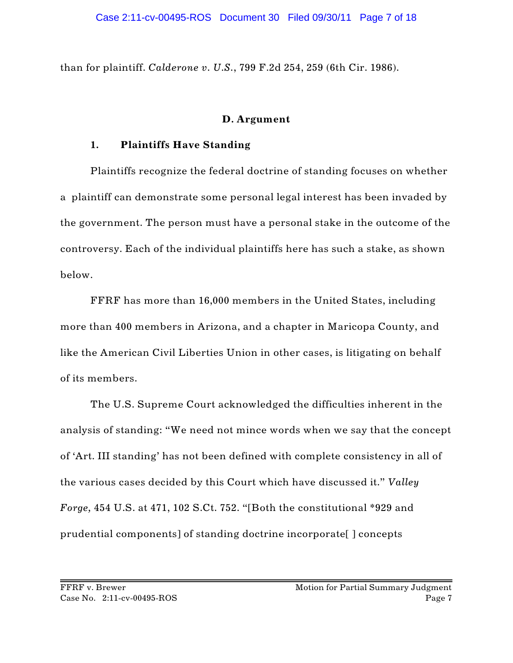than for plaintiff. *Calderone v. U.S.*, 799 F.2d 254, 259 (6th Cir. 1986).

### **D. Argument**

### **1. Plaintiffs Have Standing**

Plaintiffs recognize the federal doctrine of standing focuses on whether a plaintiff can demonstrate some personal legal interest has been invaded by the government. The person must have a personal stake in the outcome of the controversy. Each of the individual plaintiffs here has such a stake, as shown below.

FFRF has more than 16,000 members in the United States, including more than 400 members in Arizona, and a chapter in Maricopa County, and like the American Civil Liberties Union in other cases, is litigating on behalf of its members.

The U.S. Supreme Court acknowledged the difficulties inherent in the analysis of standing: "We need not mince words when we say that the concept of 'Art. III standing' has not been defined with complete consistency in all of the various cases decided by this Court which have discussed it." *Valley Forge,* 454 U.S. at 471, 102 S.Ct. 752. "[Both the constitutional \*929 and prudential components] of standing doctrine incorporate[ ] concepts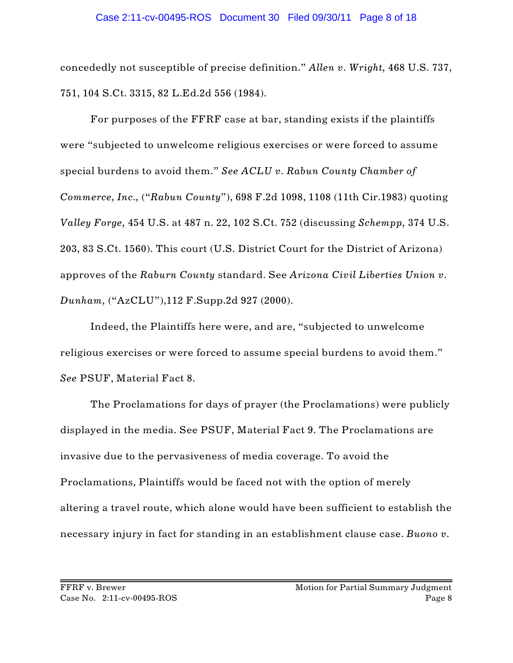concededly not susceptible of precise definition." *Allen v. Wright,* 468 U.S. 737, 751, 104 S.Ct. 3315, 82 L.Ed.2d 556 (1984).

For purposes of the FFRF case at bar, standing exists if the plaintiffs were "subjected to unwelcome religious exercises or were forced to assume special burdens to avoid them." *See ACLU v. Rabun County Chamber of Commerce, Inc.,* ("*Rabun County*"), 698 F.2d 1098, 1108 (11th Cir.1983) quoting *Valley Forge,* 454 U.S. at 487 n. 22, 102 S.Ct. 752 (discussing *Schempp,* 374 U.S. 203, 83 S.Ct. 1560). This court (U.S. District Court for the District of Arizona) approves of the *Raburn County* standard. See *Arizona Civil Liberties Union v. Dunham,* ("AzCLU"),112 F.Supp.2d 927 (2000).

Indeed, the Plaintiffs here were, and are, "subjected to unwelcome religious exercises or were forced to assume special burdens to avoid them." *See* PSUF, Material Fact 8.

The Proclamations for days of prayer (the Proclamations) were publicly displayed in the media. See PSUF, Material Fact 9. The Proclamations are invasive due to the pervasiveness of media coverage. To avoid the Proclamations, Plaintiffs would be faced not with the option of merely altering a travel route, which alone would have been sufficient to establish the necessary injury in fact for standing in an establishment clause case. *Buono v.*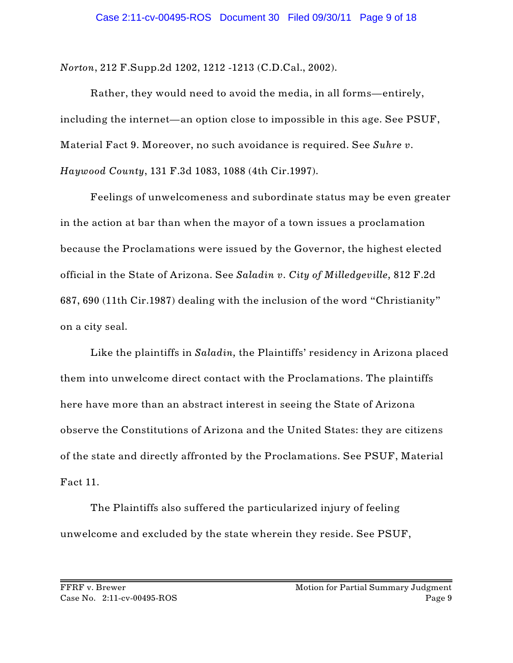*Norton*, 212 F.Supp.2d 1202, 1212 -1213 (C.D.Cal., 2002).

Rather, they would need to avoid the media, in all forms—entirely, including the internet—an option close to impossible in this age. See PSUF, Material Fact 9. Moreover, no such avoidance is required. See *Suhre v. Haywood County*, 131 F.3d 1083, 1088 (4th Cir.1997).

Feelings of unwelcomeness and subordinate status may be even greater in the action at bar than when the mayor of a town issues a proclamation because the Proclamations were issued by the Governor, the highest elected official in the State of Arizona. See *Saladin v. City of Milledgeville,* 812 F.2d 687, 690 (11th Cir.1987) dealing with the inclusion of the word "Christianity" on a city seal.

Like the plaintiffs in *Saladin,* the Plaintiffs' residency in Arizona placed them into unwelcome direct contact with the Proclamations. The plaintiffs here have more than an abstract interest in seeing the State of Arizona observe the Constitutions of Arizona and the United States: they are citizens of the state and directly affronted by the Proclamations. See PSUF, Material Fact 11.

The Plaintiffs also suffered the particularized injury of feeling unwelcome and excluded by the state wherein they reside. See PSUF,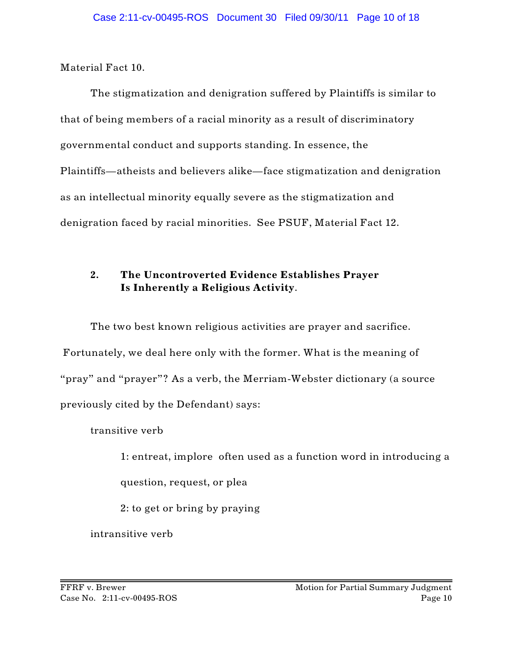Material Fact 10.

The stigmatization and denigration suffered by Plaintiffs is similar to that of being members of a racial minority as a result of discriminatory governmental conduct and supports standing. In essence, the Plaintiffs—atheists and believers alike—face stigmatization and denigration as an intellectual minority equally severe as the stigmatization and denigration faced by racial minorities. See PSUF, Material Fact 12.

# **2. The Uncontroverted Evidence Establishes Prayer Is Inherently a Religious Activity**.

The two best known religious activities are prayer and sacrifice. Fortunately, we deal here only with the former. What is the meaning of "pray" and "prayer"? As a verb, the Merriam-Webster dictionary (a source previously cited by the Defendant) says:

transitive verb

1: entreat, implore often used as a function word in introducing a

question, request, or plea

2: to get or bring by praying

intransitive verb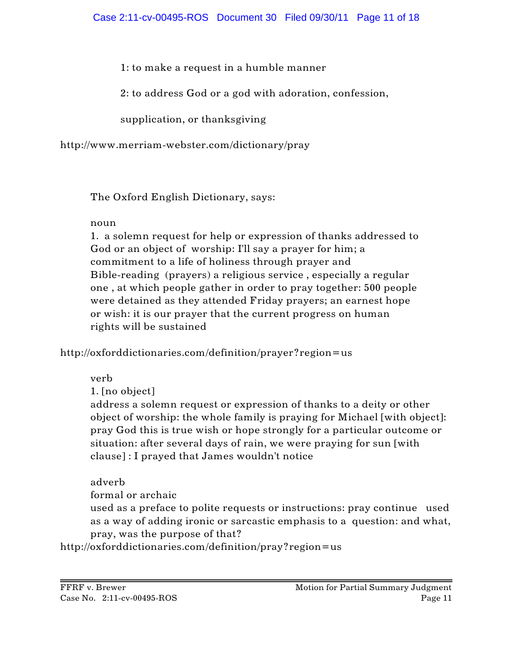1: to make a request in a humble manner

2: to address God or a god with adoration, confession,

supplication, or thanksgiving

http://www.merriam-webster.com/dictionary/pray

The Oxford English Dictionary, says:

# noun

1. a solemn request for help or expression of thanks addressed to God or an object of worship: I'll say a prayer for him; a commitment to a life of holiness through prayer and Bible-reading (prayers) a religious service , especially a regular one , at which people gather in order to pray together: 500 people were detained as they attended Friday prayers; an earnest hope or wish: it is our prayer that the current progress on human rights will be sustained

http://oxforddictionaries.com/definition/prayer?region=us

verb

1. [no object]

address a solemn request or expression of thanks to a deity or other object of worship: the whole family is praying for Michael [with object]: pray God this is true wish or hope strongly for a particular outcome or situation: after several days of rain, we were praying for sun [with clause] : I prayed that James wouldn't notice

# adverb

formal or archaic

 used as a preface to polite requests or instructions: pray continue used as a way of adding ironic or sarcastic emphasis to a question: and what, pray, was the purpose of that?

http://oxforddictionaries.com/definition/pray?region=us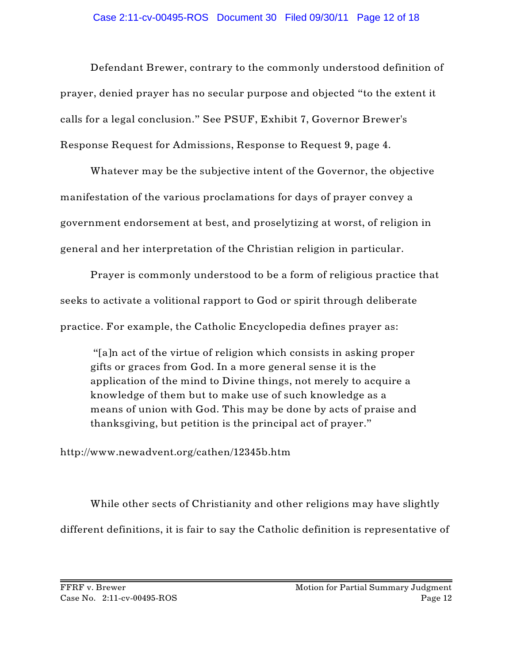Defendant Brewer, contrary to the commonly understood definition of prayer, denied prayer has no secular purpose and objected "to the extent it calls for a legal conclusion." See PSUF, Exhibit 7, Governor Brewer's Response Request for Admissions, Response to Request 9, page 4.

Whatever may be the subjective intent of the Governor, the objective manifestation of the various proclamations for days of prayer convey a government endorsement at best, and proselytizing at worst, of religion in general and her interpretation of the Christian religion in particular.

Prayer is commonly understood to be a form of religious practice that seeks to activate a volitional rapport to God or spirit through deliberate practice. For example, the Catholic Encyclopedia defines prayer as:

 "[a]n act of the virtue of religion which consists in asking proper gifts or graces from God. In a more general sense it is the application of the mind to Divine things, not merely to acquire a knowledge of them but to make use of such knowledge as a means of union with God. This may be done by acts of praise and thanksgiving, but petition is the principal act of prayer."

http://www.newadvent.org/cathen/12345b.htm

While other sects of Christianity and other religions may have slightly different definitions, it is fair to say the Catholic definition is representative of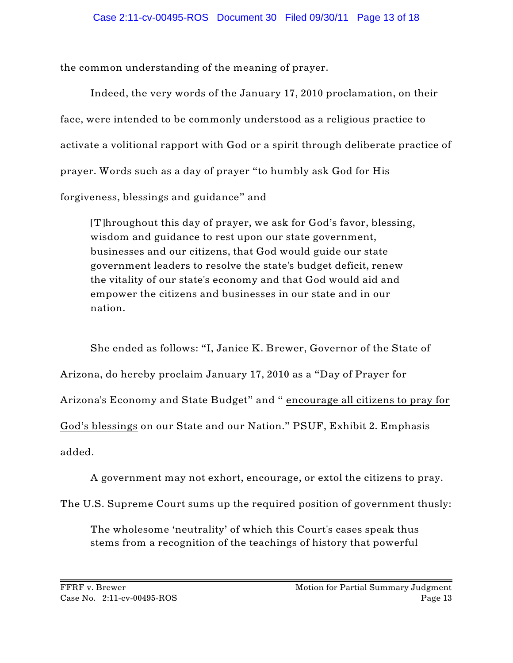the common understanding of the meaning of prayer.

Indeed, the very words of the January 17, 2010 proclamation, on their face, were intended to be commonly understood as a religious practice to activate a volitional rapport with God or a spirit through deliberate practice of prayer. Words such as a day of prayer "to humbly ask God for His forgiveness, blessings and guidance" and

[T]hroughout this day of prayer, we ask for God's favor, blessing, wisdom and guidance to rest upon our state government, businesses and our citizens, that God would guide our state government leaders to resolve the state's budget deficit, renew the vitality of our state's economy and that God would aid and empower the citizens and businesses in our state and in our nation.

She ended as follows: "I, Janice K. Brewer, Governor of the State of Arizona, do hereby proclaim January 17, 2010 as a "Day of Prayer for Arizona's Economy and State Budget" and " encourage all citizens to pray for God's blessings on our State and our Nation." PSUF, Exhibit 2. Emphasis added.

A government may not exhort, encourage, or extol the citizens to pray.

The U.S. Supreme Court sums up the required position of government thusly:

The wholesome 'neutrality' of which this Court's cases speak thus stems from a recognition of the teachings of history that powerful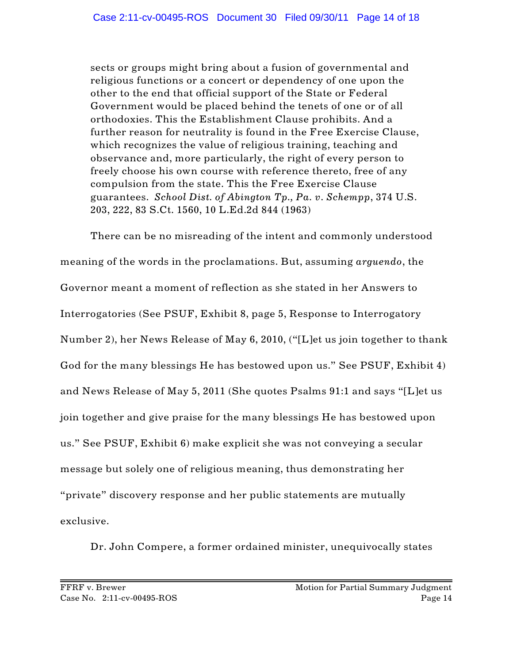sects or groups might bring about a fusion of governmental and religious functions or a concert or dependency of one upon the other to the end that official support of the State or Federal Government would be placed behind the tenets of one or of all orthodoxies. This the Establishment Clause prohibits. And a further reason for neutrality is found in the Free Exercise Clause, which recognizes the value of religious training, teaching and observance and, more particularly, the right of every person to freely choose his own course with reference thereto, free of any compulsion from the state. This the Free Exercise Clause guarantees. *School Dist. of Abington Tp., Pa. v. Schempp*, 374 U.S. 203, 222, 83 S.Ct. 1560, 10 L.Ed.2d 844 (1963)

There can be no misreading of the intent and commonly understood meaning of the words in the proclamations. But, assuming *arguendo*, the Governor meant a moment of reflection as she stated in her Answers to Interrogatories (See PSUF, Exhibit 8, page 5, Response to Interrogatory Number 2), her News Release of May 6, 2010, ("[L]et us join together to thank God for the many blessings He has bestowed upon us." See PSUF, Exhibit 4) and News Release of May 5, 2011 (She quotes Psalms 91:1 and says "[L]et us join together and give praise for the many blessings He has bestowed upon us." See PSUF, Exhibit 6) make explicit she was not conveying a secular message but solely one of religious meaning, thus demonstrating her "private" discovery response and her public statements are mutually exclusive.

Dr. John Compere, a former ordained minister, unequivocally states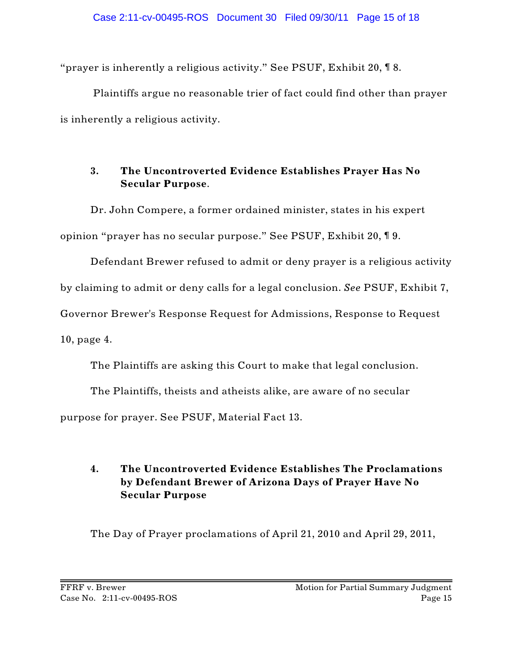"prayer is inherently a religious activity." See PSUF, Exhibit 20, ¶ 8.

 Plaintiffs argue no reasonable trier of fact could find other than prayer is inherently a religious activity.

## **3. The Uncontroverted Evidence Establishes Prayer Has No Secular Purpose**.

Dr. John Compere, a former ordained minister, states in his expert opinion "prayer has no secular purpose." See PSUF, Exhibit 20, ¶ 9.

Defendant Brewer refused to admit or deny prayer is a religious activity

by claiming to admit or deny calls for a legal conclusion. *See* PSUF, Exhibit 7,

Governor Brewer's Response Request for Admissions, Response to Request

10, page 4.

The Plaintiffs are asking this Court to make that legal conclusion.

The Plaintiffs, theists and atheists alike, are aware of no secular purpose for prayer. See PSUF, Material Fact 13.

# **4. The Uncontroverted Evidence Establishes The Proclamations by Defendant Brewer of Arizona Days of Prayer Have No Secular Purpose**

The Day of Prayer proclamations of April 21, 2010 and April 29, 2011,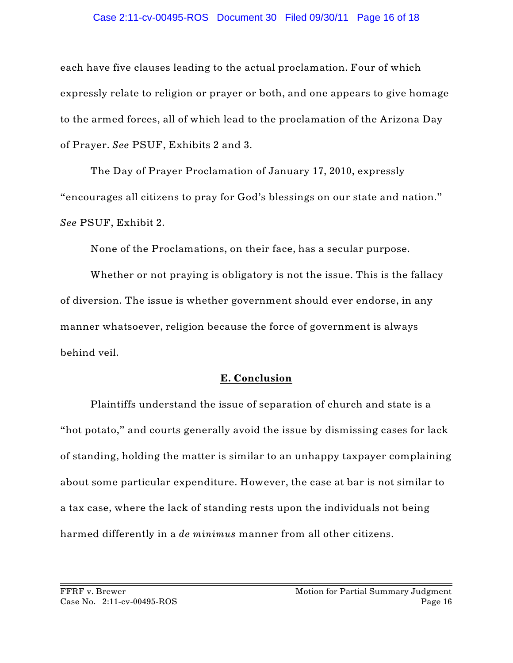#### Case 2:11-cv-00495-ROS Document 30 Filed 09/30/11 Page 16 of 18

each have five clauses leading to the actual proclamation. Four of which expressly relate to religion or prayer or both, and one appears to give homage to the armed forces, all of which lead to the proclamation of the Arizona Day of Prayer. *See* PSUF, Exhibits 2 and 3.

The Day of Prayer Proclamation of January 17, 2010, expressly "encourages all citizens to pray for God's blessings on our state and nation." *See* PSUF, Exhibit 2.

None of the Proclamations, on their face, has a secular purpose.

Whether or not praying is obligatory is not the issue. This is the fallacy of diversion. The issue is whether government should ever endorse, in any manner whatsoever, religion because the force of government is always behind veil.

### **E. Conclusion**

Plaintiffs understand the issue of separation of church and state is a "hot potato," and courts generally avoid the issue by dismissing cases for lack of standing, holding the matter is similar to an unhappy taxpayer complaining about some particular expenditure. However, the case at bar is not similar to a tax case, where the lack of standing rests upon the individuals not being harmed differently in a *de minimus* manner from all other citizens.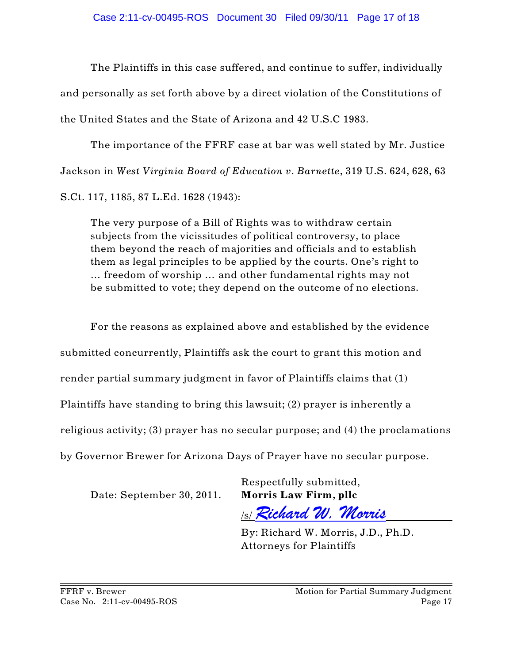The Plaintiffs in this case suffered, and continue to suffer, individually and personally as set forth above by a direct violation of the Constitutions of the United States and the State of Arizona and 42 U.S.C 1983.

The importance of the FFRF case at bar was well stated by Mr. Justice Jackson in *West Virginia Board of Education v. Barnette*, 319 U.S. 624, 628, 63 S.Ct. 117, 1185, 87 L.Ed. 1628 (1943):

The very purpose of a Bill of Rights was to withdraw certain subjects from the vicissitudes of political controversy, to place them beyond the reach of majorities and officials and to establish them as legal principles to be applied by the courts. One's right to … freedom of worship … and other fundamental rights may not be submitted to vote; they depend on the outcome of no elections.

For the reasons as explained above and established by the evidence submitted concurrently, Plaintiffs ask the court to grant this motion and render partial summary judgment in favor of Plaintiffs claims that (1) Plaintiffs have standing to bring this lawsuit; (2) prayer is inherently a religious activity; (3) prayer has no secular purpose; and (4) the proclamations by Governor Brewer for Arizona Days of Prayer have no secular purpose.

Date: September 30, 2011. **Morris Law Firm, pllc**

Respectfully submitted,

/s/ *Richard W. Morris*

By: Richard W. Morris, J.D., Ph.D. Attorneys for Plaintiffs